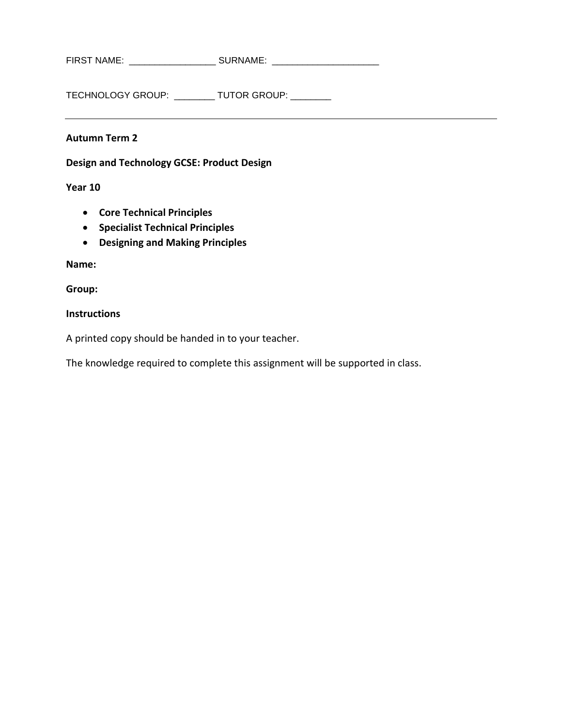FIRST NAME: \_\_\_\_\_\_\_\_\_\_\_\_\_\_\_\_\_\_\_\_\_\_\_ SURNAME: \_\_\_\_\_\_\_\_\_\_\_\_\_\_\_\_\_\_\_\_\_\_\_\_\_\_\_\_\_\_\_\_\_\_\_

TECHNOLOGY GROUP: \_\_\_\_\_\_\_\_ TUTOR GROUP: \_\_\_\_\_\_\_\_

#### **Autumn Term 2**

**Design and Technology GCSE: Product Design**

**Year 10**

- **Core Technical Principles**
- **Specialist Technical Principles**
- **Designing and Making Principles**

**Name:**

**Group:**

#### **Instructions**

A printed copy should be handed in to your teacher.

The knowledge required to complete this assignment will be supported in class.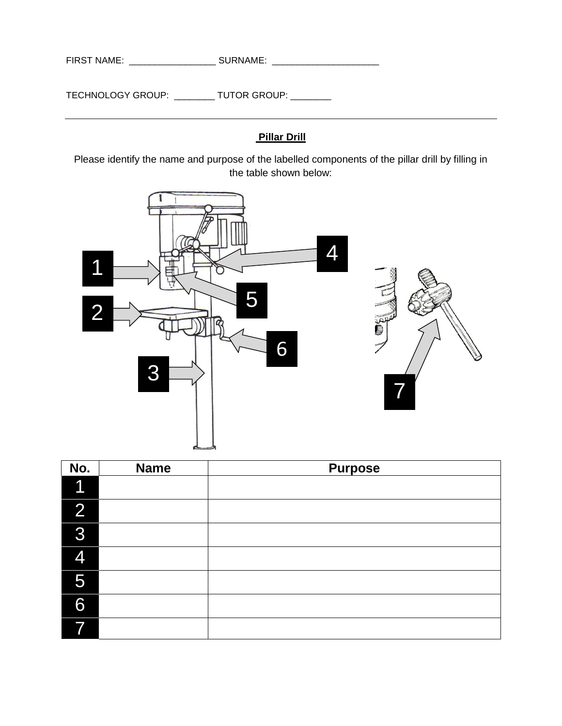FIRST NAME: \_\_\_\_\_\_\_\_\_\_\_\_\_\_\_\_\_ SURNAME: \_\_\_\_\_\_\_\_\_\_\_\_\_\_\_\_\_\_\_\_\_

TECHNOLOGY GROUP: \_\_\_\_\_\_\_\_ TUTOR GROUP: \_\_\_\_\_\_\_\_

## **Pillar Drill**

Please identify the name and purpose of the labelled components of the pillar drill by filling in the table shown below:



| No.            | <b>Name</b> | <b>Purpose</b> |
|----------------|-------------|----------------|
| 1              |             |                |
| $\overline{2}$ |             |                |
| 3              |             |                |
| 4              |             |                |
| 5              |             |                |
| 6              |             |                |
|                |             |                |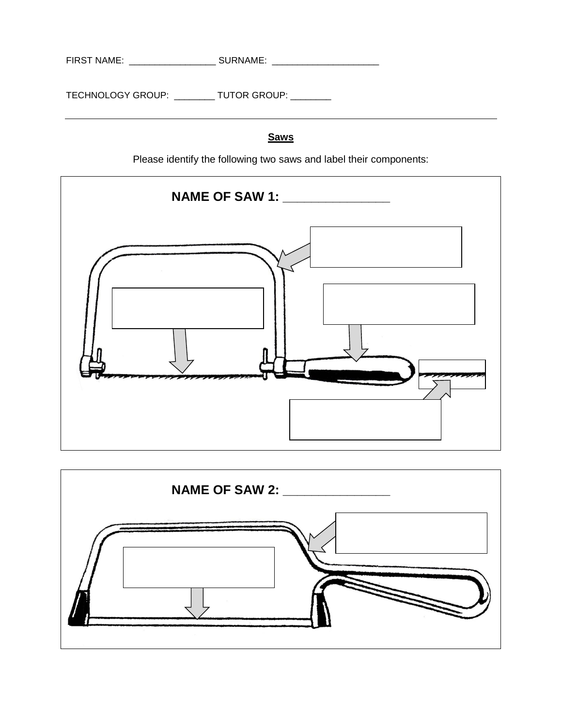| <b>FIRST NAME:</b> | .<br>SURNAME <sup>.</sup> |  |
|--------------------|---------------------------|--|
|                    |                           |  |
|                    |                           |  |

# **Saws**

Please identify the following two saws and label their components:



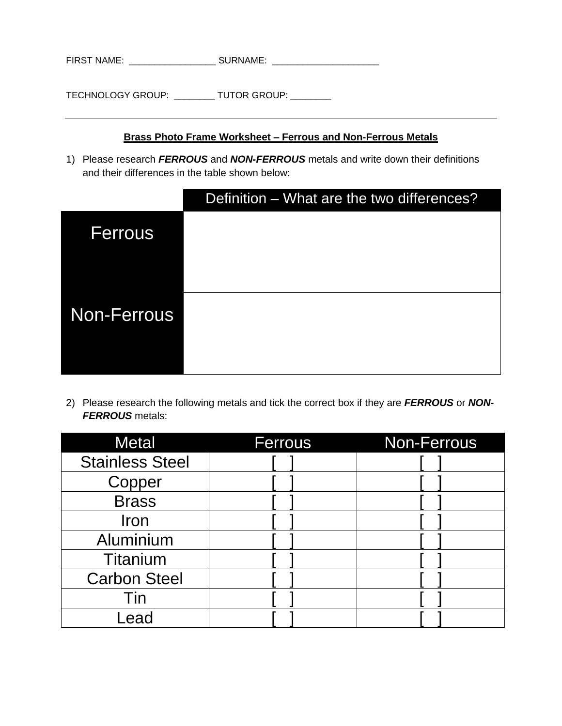| <b>FIRST NAME:</b> |  | <b>CLIDNIANIE</b><br>.¬ INAINI∟. |  |
|--------------------|--|----------------------------------|--|
|--------------------|--|----------------------------------|--|

### **Brass Photo Frame Worksheet – Ferrous and Non-Ferrous Metals**

1) Please research *FERROUS* and *NON-FERROUS* metals and write down their definitions and their differences in the table shown below:

|             | Definition – What are the two differences? |
|-------------|--------------------------------------------|
| Ferrous     |                                            |
| Non-Ferrous |                                            |

2) Please research the following metals and tick the correct box if they are *FERROUS* or *NON-FERROUS* metals:

| <b>Metal</b>           | <b>Ferrous</b> | <b>Non-Ferrous</b> |
|------------------------|----------------|--------------------|
| <b>Stainless Steel</b> |                |                    |
| Copper                 |                |                    |
| <b>Brass</b>           |                |                    |
| Iron                   |                |                    |
| Aluminium              |                |                    |
| <b>Titanium</b>        |                |                    |
| <b>Carbon Steel</b>    |                |                    |
| Tin                    |                |                    |
| _ead                   |                |                    |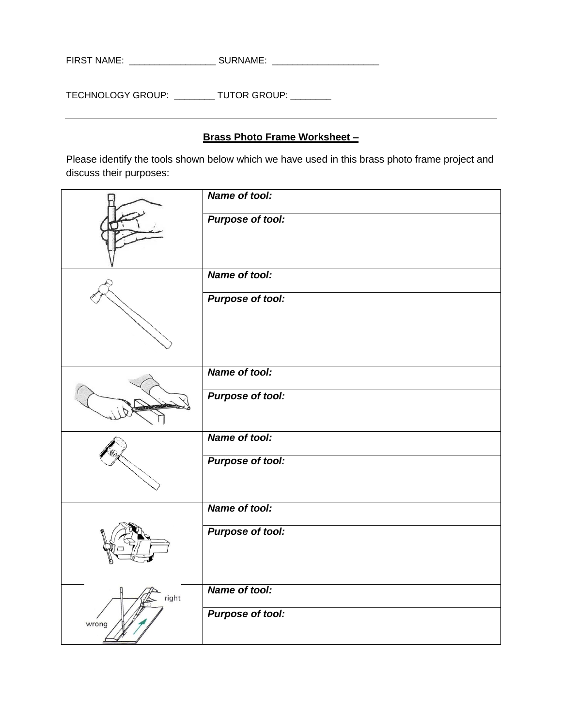| <b>FIRST NAME:</b> | CILDNIAME<br>™™HIVI∟. |  |
|--------------------|-----------------------|--|
|                    |                       |  |

# **Brass Photo Frame Worksheet –**

Please identify the tools shown below which we have used in this brass photo frame project and discuss their purposes:

|       | Name of tool:           |
|-------|-------------------------|
|       | <b>Purpose of tool:</b> |
|       | Name of tool:           |
|       | <b>Purpose of tool:</b> |
|       | Name of tool:           |
|       | <b>Purpose of tool:</b> |
|       | Name of tool:           |
|       | <b>Purpose of tool:</b> |
|       | Name of tool:           |
|       | <b>Purpose of tool:</b> |
| right | Name of tool:           |
| wrong | <b>Purpose of tool:</b> |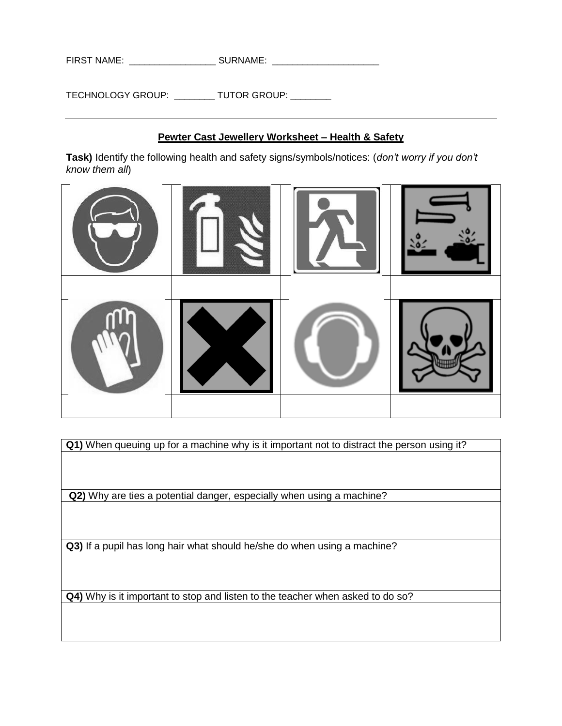| <b>FIRST NAME:</b><br><b>SURNAME:</b> |  |
|---------------------------------------|--|
|---------------------------------------|--|

## **Pewter Cast Jewellery Worksheet – Health & Safety**

**Task)** Identify the following health and safety signs/symbols/notices: (*don't worry if you don't know them all*)



**Q1)** When queuing up for a machine why is it important not to distract the person using it?

**Q2)** Why are ties a potential danger, especially when using a machine?

**Q3)** If a pupil has long hair what should he/she do when using a machine?

**Q4)** Why is it important to stop and listen to the teacher when asked to do so?